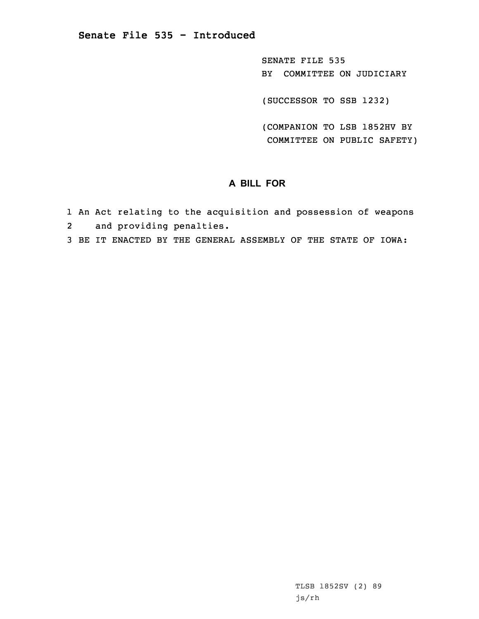SENATE FILE 535 BY COMMITTEE ON JUDICIARY

(SUCCESSOR TO SSB 1232)

(COMPANION TO LSB 1852HV BY COMMITTEE ON PUBLIC SAFETY)

# **A BILL FOR**

- 1 An Act relating to the acquisition and possession of weapons
- 2 and providing penalties.
- 3 BE IT ENACTED BY THE GENERAL ASSEMBLY OF THE STATE OF IOWA: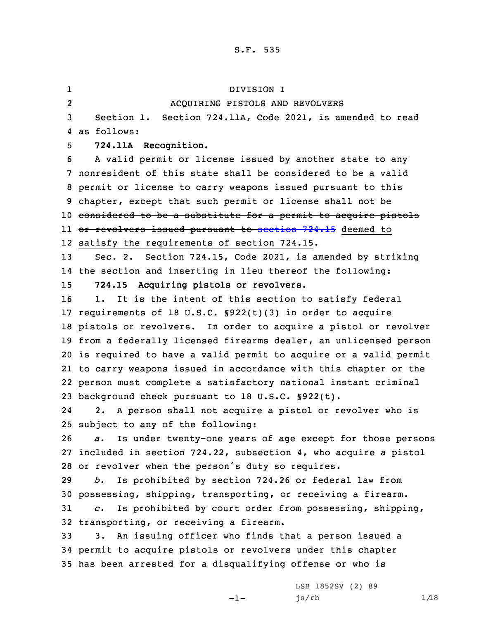1 DIVISION I 2 ACQUIRING PISTOLS AND REVOLVERS Section 1. Section 724.11A, Code 2021, is amended to read as follows: **724.11A Recognition.** <sup>A</sup> valid permit or license issued by another state to any nonresident of this state shall be considered to be <sup>a</sup> valid permit or license to carry weapons issued pursuant to this chapter, except that such permit or license shall not be considered to be <sup>a</sup> substitute for <sup>a</sup> permit to acquire pistols ll <del>or revolvers issued pursuant to [section](https://www.legis.iowa.gov/docs/code/2021/724.15.pdf) 724.15</del> deemed to satisfy the requirements of section 724.15. Sec. 2. Section 724.15, Code 2021, is amended by striking the section and inserting in lieu thereof the following: **724.15 Acquiring pistols or revolvers.** 16 1. It is the intent of this section to satisfy federal requirements of 18 U.S.C. §922(t)(3) in order to acquire pistols or revolvers. In order to acquire <sup>a</sup> pistol or revolver from <sup>a</sup> federally licensed firearms dealer, an unlicensed person is required to have <sup>a</sup> valid permit to acquire or <sup>a</sup> valid permit to carry weapons issued in accordance with this chapter or the person must complete <sup>a</sup> satisfactory national instant criminal background check pursuant to 18 U.S.C. §922(t). 24 2. <sup>A</sup> person shall not acquire <sup>a</sup> pistol or revolver who is subject to any of the following: *a.* Is under twenty-one years of age except for those persons included in section 724.22, subsection 4, who acquire <sup>a</sup> pistol or revolver when the person's duty so requires. *b.* Is prohibited by section 724.26 or federal law from possessing, shipping, transporting, or receiving <sup>a</sup> firearm. *c.* Is prohibited by court order from possessing, shipping, transporting, or receiving <sup>a</sup> firearm. 3. An issuing officer who finds that <sup>a</sup> person issued <sup>a</sup> permit to acquire pistols or revolvers under this chapter has been arrested for <sup>a</sup> disqualifying offense or who is

 $-1-$ 

LSB 1852SV (2) 89  $js/rh$  1/18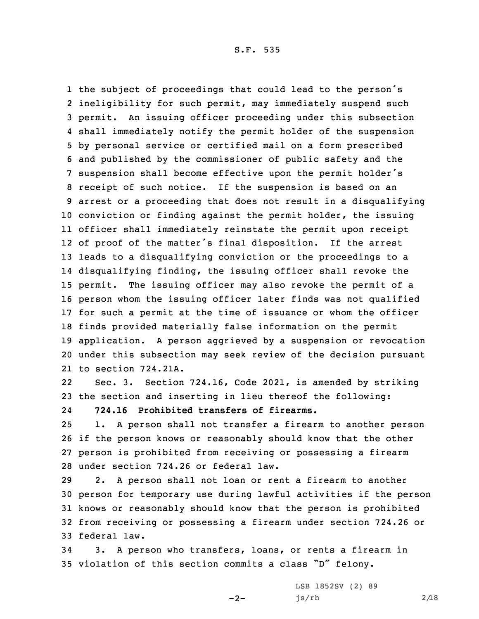the subject of proceedings that could lead to the person's ineligibility for such permit, may immediately suspend such permit. An issuing officer proceeding under this subsection shall immediately notify the permit holder of the suspension by personal service or certified mail on <sup>a</sup> form prescribed and published by the commissioner of public safety and the suspension shall become effective upon the permit holder's receipt of such notice. If the suspension is based on an arrest or <sup>a</sup> proceeding that does not result in <sup>a</sup> disqualifying conviction or finding against the permit holder, the issuing officer shall immediately reinstate the permit upon receipt of proof of the matter's final disposition. If the arrest leads to <sup>a</sup> disqualifying conviction or the proceedings to <sup>a</sup> disqualifying finding, the issuing officer shall revoke the permit. The issuing officer may also revoke the permit of <sup>a</sup> person whom the issuing officer later finds was not qualified for such <sup>a</sup> permit at the time of issuance or whom the officer finds provided materially false information on the permit application. <sup>A</sup> person aggrieved by <sup>a</sup> suspension or revocation under this subsection may seek review of the decision pursuant to section 724.21A.

22 Sec. 3. Section 724.16, Code 2021, is amended by striking 23 the section and inserting in lieu thereof the following:

24**724.16 Prohibited transfers of firearms.**

 1. <sup>A</sup> person shall not transfer <sup>a</sup> firearm to another person if the person knows or reasonably should know that the other person is prohibited from receiving or possessing <sup>a</sup> firearm under section 724.26 or federal law.

 2. <sup>A</sup> person shall not loan or rent <sup>a</sup> firearm to another person for temporary use during lawful activities if the person knows or reasonably should know that the person is prohibited from receiving or possessing <sup>a</sup> firearm under section 724.26 or federal law.

34 3. <sup>A</sup> person who transfers, loans, or rents <sup>a</sup> firearm in <sup>35</sup> violation of this section commits <sup>a</sup> class "D" felony.

 $-2-$ 

LSB 1852SV (2) 89  $js/rh$  2/18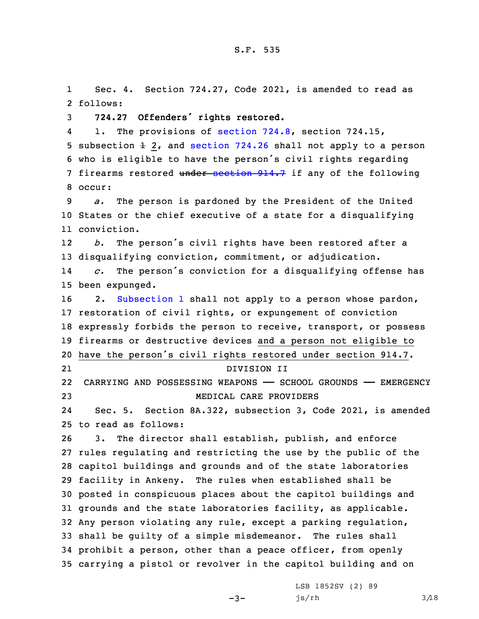1 Sec. 4. Section 724.27, Code 2021, is amended to read as 2 follows:

<sup>3</sup> **724.27 Offenders' rights restored.**

41. The provisions of [section](https://www.legis.iowa.gov/docs/code/2021/724.8.pdf) 724.8, section 724.15, 5 sub[section](https://www.legis.iowa.gov/docs/code/2021/724.26.pdf)  $\pm$  2, and section 724.26 shall not apply to a person <sup>6</sup> who is eligible to have the person's civil rights regarding 7 firearms restored under [section](https://www.legis.iowa.gov/docs/code/2021/914.7.pdf) 914.7 if any of the following 8 occur:

9 *a.* The person is pardoned by the President of the United 10 States or the chief executive of <sup>a</sup> state for <sup>a</sup> disqualifying 11 conviction.

12 *b.* The person's civil rights have been restored after <sup>a</sup> 13 disqualifying conviction, commitment, or adjudication.

14 *c.* The person's conviction for <sup>a</sup> disqualifying offense has 15 been expunged.

16 2. [Subsection](https://www.legis.iowa.gov/docs/code/2021/724.27.pdf) 1 shall not apply to a person whose pardon, restoration of civil rights, or expungement of conviction expressly forbids the person to receive, transport, or possess firearms or destructive devices and <sup>a</sup> person not eligible to have the person's civil rights restored under section 914.7. 21 DIVISION II CARRYING AND POSSESSING WEAPONS —— SCHOOL GROUNDS —— EMERGENCY MEDICAL CARE PROVIDERS

24 Sec. 5. Section 8A.322, subsection 3, Code 2021, is amended 25 to read as follows:

 3. The director shall establish, publish, and enforce rules regulating and restricting the use by the public of the capitol buildings and grounds and of the state laboratories facility in Ankeny. The rules when established shall be posted in conspicuous places about the capitol buildings and grounds and the state laboratories facility, as applicable. Any person violating any rule, except <sup>a</sup> parking regulation, shall be guilty of <sup>a</sup> simple misdemeanor. The rules shall prohibit <sup>a</sup> person, other than <sup>a</sup> peace officer, from openly carrying <sup>a</sup> pistol or revolver in the capitol building and on

 $-3-$ 

LSB 1852SV (2) 89  $js/rh$  3/18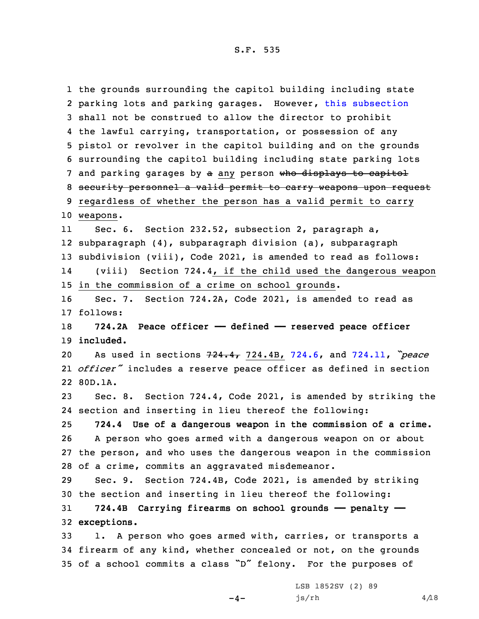the grounds surrounding the capitol building including state parking lots and parking garages. However, this [subsection](https://www.legis.iowa.gov/docs/code/2021/8A.322.pdf) shall not be construed to allow the director to prohibit the lawful carrying, transportation, or possession of any pistol or revolver in the capitol building and on the grounds surrounding the capitol building including state parking lots 7 and parking garages by a any person who displays to capitol security personnel <sup>a</sup> valid permit to carry weapons upon request regardless of whether the person has <sup>a</sup> valid permit to carry 10 weapons. 11 Sec. 6. Section 232.52, subsection 2, paragraph a, subparagraph (4), subparagraph division (a), subparagraph subdivision (viii), Code 2021, is amended to read as follows: 14 (viii) Section 724.4, if the child used the dangerous weapon in the commission of <sup>a</sup> crime on school grounds. Sec. 7. Section 724.2A, Code 2021, is amended to read as 17 follows: **724.2A Peace officer —— defined —— reserved peace officer included.** As used in sections 724.4, 724.4B, [724.6](https://www.legis.iowa.gov/docs/code/2021/724.6.pdf), and [724.11](https://www.legis.iowa.gov/docs/code/2021/724.11.pdf), *"peace officer"* includes <sup>a</sup> reserve peace officer as defined in section 22 80D.1A. Sec. 8. Section 724.4, Code 2021, is amended by striking the section and inserting in lieu thereof the following: **724.4 Use of <sup>a</sup> dangerous weapon in the commission of <sup>a</sup> crime.** <sup>A</sup> person who goes armed with <sup>a</sup> dangerous weapon on or about the person, and who uses the dangerous weapon in the commission of <sup>a</sup> crime, commits an aggravated misdemeanor. Sec. 9. Section 724.4B, Code 2021, is amended by striking the section and inserting in lieu thereof the following: **724.4B Carrying firearms on school grounds —— penalty —— exceptions.** 1. <sup>A</sup> person who goes armed with, carries, or transports <sup>a</sup> firearm of any kind, whether concealed or not, on the grounds of <sup>a</sup> school commits <sup>a</sup> class "D" felony. For the purposes of

 $-4-$ 

LSB 1852SV (2) 89  $js/rh$  4/18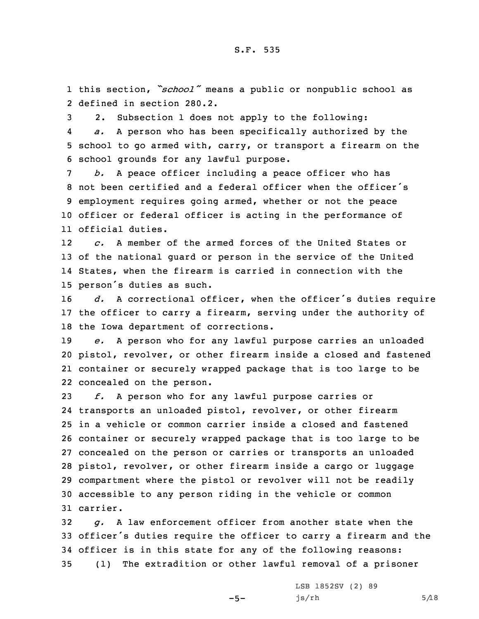1 this section, *"school"* means <sup>a</sup> public or nonpublic school as 2 defined in section 280.2.

3 2. Subsection 1 does not apply to the following:

4 *a.* <sup>A</sup> person who has been specifically authorized by the 5 school to go armed with, carry, or transport <sup>a</sup> firearm on the 6 school grounds for any lawful purpose.

 *b.* <sup>A</sup> peace officer including <sup>a</sup> peace officer who has not been certified and <sup>a</sup> federal officer when the officer's employment requires going armed, whether or not the peace officer or federal officer is acting in the performance of official duties.

12 *c.* A member of the armed forces of the United States or 13 of the national guard or person in the service of the United 14 States, when the firearm is carried in connection with the <sup>15</sup> person's duties as such.

<sup>16</sup> *d.* <sup>A</sup> correctional officer, when the officer's duties require 17 the officer to carry <sup>a</sup> firearm, serving under the authority of 18 the Iowa department of corrections.

 *e.* <sup>A</sup> person who for any lawful purpose carries an unloaded pistol, revolver, or other firearm inside <sup>a</sup> closed and fastened container or securely wrapped package that is too large to be concealed on the person.

 *f.* <sup>A</sup> person who for any lawful purpose carries or transports an unloaded pistol, revolver, or other firearm in <sup>a</sup> vehicle or common carrier inside <sup>a</sup> closed and fastened container or securely wrapped package that is too large to be concealed on the person or carries or transports an unloaded pistol, revolver, or other firearm inside <sup>a</sup> cargo or luggage compartment where the pistol or revolver will not be readily accessible to any person riding in the vehicle or common 31 carrier.

 *g.* <sup>A</sup> law enforcement officer from another state when the officer's duties require the officer to carry <sup>a</sup> firearm and the officer is in this state for any of the following reasons: (1) The extradition or other lawful removal of <sup>a</sup> prisoner

 $-5-$ 

LSB 1852SV (2) 89  $js/rh$  5/18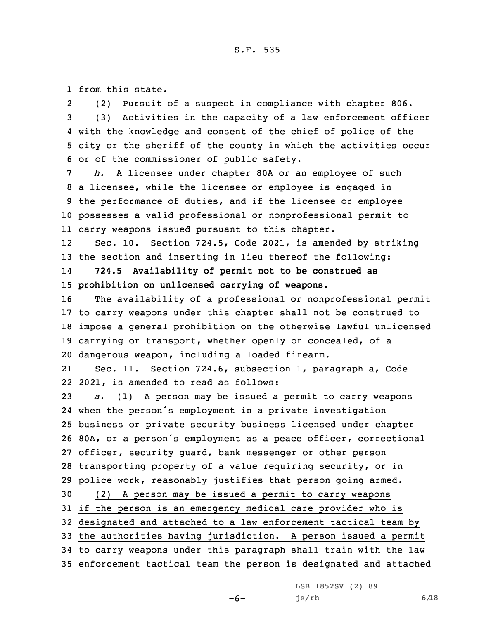1 from this state.

2 (2) Pursuit of <sup>a</sup> suspect in compliance with chapter 806. (3) Activities in the capacity of <sup>a</sup> law enforcement officer with the knowledge and consent of the chief of police of the city or the sheriff of the county in which the activities occur or of the commissioner of public safety.

 *h.* <sup>A</sup> licensee under chapter 80A or an employee of such <sup>a</sup> licensee, while the licensee or employee is engaged in the performance of duties, and if the licensee or employee possesses <sup>a</sup> valid professional or nonprofessional permit to carry weapons issued pursuant to this chapter.

12 Sec. 10. Section 724.5, Code 2021, is amended by striking 13 the section and inserting in lieu thereof the following:

14 **724.5 Availability of permit not to be construed as** 15 **prohibition on unlicensed carrying of weapons.**

 The availability of <sup>a</sup> professional or nonprofessional permit to carry weapons under this chapter shall not be construed to impose <sup>a</sup> general prohibition on the otherwise lawful unlicensed carrying or transport, whether openly or concealed, of <sup>a</sup> dangerous weapon, including <sup>a</sup> loaded firearm.

21 Sec. 11. Section 724.6, subsection 1, paragraph a, Code 22 2021, is amended to read as follows:

 *a.* (1) <sup>A</sup> person may be issued <sup>a</sup> permit to carry weapons when the person's employment in <sup>a</sup> private investigation business or private security business licensed under chapter 80A, or <sup>a</sup> person's employment as <sup>a</sup> peace officer, correctional officer, security guard, bank messenger or other person transporting property of <sup>a</sup> value requiring security, or in police work, reasonably justifies that person going armed. (2) <sup>A</sup> person may be issued <sup>a</sup> permit to carry weapons if the person is an emergency medical care provider who is designated and attached to <sup>a</sup> law enforcement tactical team by the authorities having jurisdiction. <sup>A</sup> person issued <sup>a</sup> permit

34 to carry weapons under this paragraph shall train with the law

35 enforcement tactical team the person is designated and attached

LSB 1852SV (2) 89

js/rh 6/18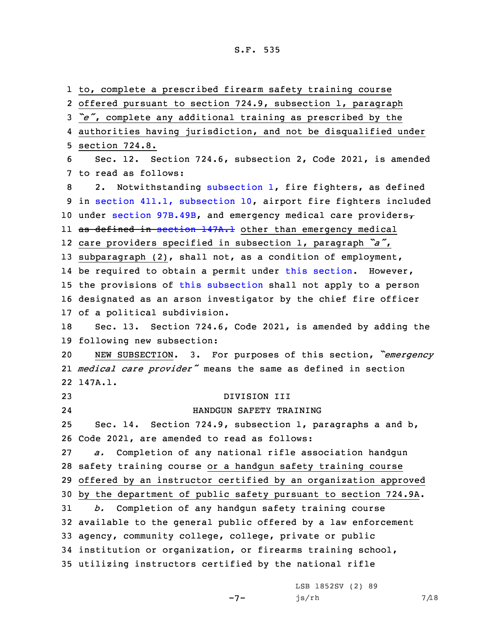to, complete <sup>a</sup> prescribed firearm safety training course offered pursuant to section 724.9, subsection 1, paragraph *"e"*, complete any additional training as prescribed by the authorities having jurisdiction, and not be disqualified under section 724.8. Sec. 12. Section 724.6, subsection 2, Code 2021, is amended to read as follows: 8 2. Notwithstanding [subsection](https://www.legis.iowa.gov/docs/code/2021/724.6.pdf) 1, fire fighters, as defined in section 411.1, [subsection](https://www.legis.iowa.gov/docs/code/2021/411.1.pdf) 10, airport fire fighters included 10 under section [97B.49B](https://www.legis.iowa.gov/docs/code/2021/97B.49B.pdf), and emergency medical care providers $\tau$ ll <del>as defined in [section](https://www.legis.iowa.gov/docs/code/2021/147A.1.pdf) 147A.l</del> other than emergency medical care providers specified in subsection 1, paragraph *"a"*, subparagraph (2), shall not, as <sup>a</sup> condition of employment, be required to obtain <sup>a</sup> permit under this [section](https://www.legis.iowa.gov/docs/code/2021/724.6.pdf). However, the provisions of this [subsection](https://www.legis.iowa.gov/docs/code/2021/724.6.pdf) shall not apply to <sup>a</sup> person designated as an arson investigator by the chief fire officer of <sup>a</sup> political subdivision. Sec. 13. Section 724.6, Code 2021, is amended by adding the following new subsection: NEW SUBSECTION. 3. For purposes of this section, *"emergency medical care provider"* means the same as defined in section 22 147A.1. DIVISION III 24 HANDGUN SAFETY TRAINING Sec. 14. Section 724.9, subsection 1, paragraphs <sup>a</sup> and b, Code 2021, are amended to read as follows: *a.* Completion of any national rifle association handgun safety training course or <sup>a</sup> handgun safety training course offered by an instructor certified by an organization approved by the department of public safety pursuant to section 724.9A. *b.* Completion of any handgun safety training course available to the general public offered by <sup>a</sup> law enforcement agency, community college, college, private or public institution or organization, or firearms training school, utilizing instructors certified by the national rifle

 $-7-$ 

LSB 1852SV (2) 89  $js/rh$  7/18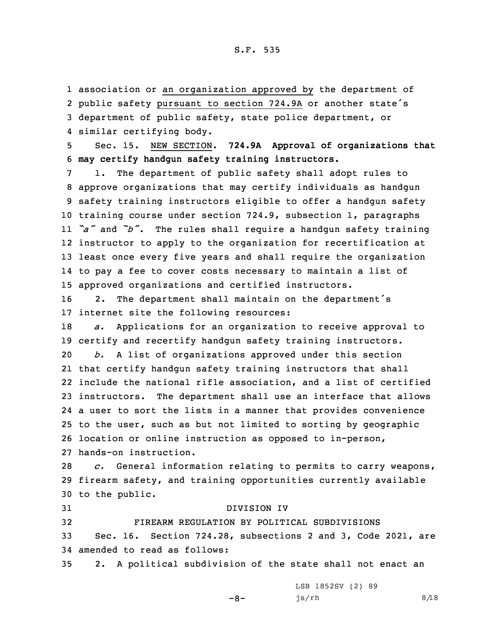association or an organization approved by the department of public safety pursuant to section 724.9A or another state's department of public safety, state police department, or similar certifying body.

5 Sec. 15. NEW SECTION. **724.9A Approval of organizations that** 6 **may certify handgun safety training instructors.**

 1. The department of public safety shall adopt rules to approve organizations that may certify individuals as handgun safety training instructors eligible to offer <sup>a</sup> handgun safety training course under section 724.9, subsection 1, paragraphs *"a"* and *"b"*. The rules shall require <sup>a</sup> handgun safety training instructor to apply to the organization for recertification at least once every five years and shall require the organization to pay <sup>a</sup> fee to cover costs necessary to maintain <sup>a</sup> list of approved organizations and certified instructors.

<sup>16</sup> 2. The department shall maintain on the department's 17 internet site the following resources:

18 *a.* Applications for an organization to receive approval to 19 certify and recertify handgun safety training instructors. 20 *b.* <sup>A</sup> list of organizations approved under this section

 that certify handgun safety training instructors that shall include the national rifle association, and <sup>a</sup> list of certified instructors. The department shall use an interface that allows <sup>a</sup> user to sort the lists in <sup>a</sup> manner that provides convenience to the user, such as but not limited to sorting by geographic location or online instruction as opposed to in-person, hands-on instruction.

28 *c.* General information relating to permits to carry weapons, 29 firearm safety, and training opportunities currently available 30 to the public.

 DIVISION IV FIREARM REGULATION BY POLITICAL SUBDIVISIONS Sec. 16. Section 724.28, subsections 2 and 3, Code 2021, are amended to read as follows: 2. <sup>A</sup> political subdivision of the state shall not enact an

 $-8-$ 

LSB 1852SV (2) 89  $js/rh$  8/18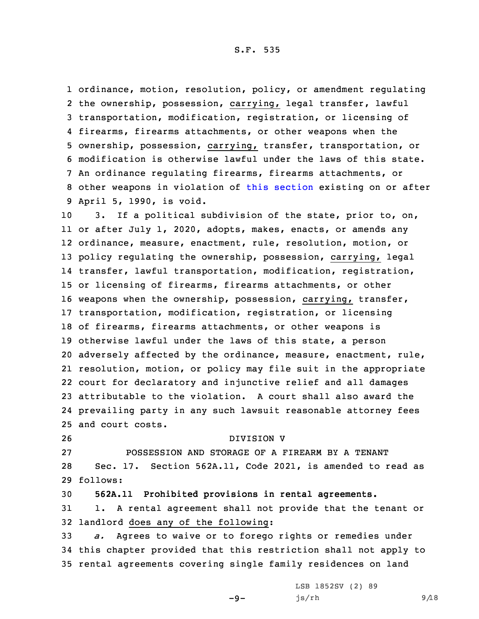ordinance, motion, resolution, policy, or amendment regulating the ownership, possession, carrying, legal transfer, lawful transportation, modification, registration, or licensing of firearms, firearms attachments, or other weapons when the ownership, possession, carrying, transfer, transportation, or modification is otherwise lawful under the laws of this state. An ordinance regulating firearms, firearms attachments, or other weapons in violation of this [section](https://www.legis.iowa.gov/docs/code/2021/724.28.pdf) existing on or after April 5, 1990, is void.

 3. If <sup>a</sup> political subdivision of the state, prior to, on, or after July 1, 2020, adopts, makes, enacts, or amends any ordinance, measure, enactment, rule, resolution, motion, or policy regulating the ownership, possession, carrying, legal transfer, lawful transportation, modification, registration, or licensing of firearms, firearms attachments, or other weapons when the ownership, possession, carrying, transfer, transportation, modification, registration, or licensing of firearms, firearms attachments, or other weapons is otherwise lawful under the laws of this state, <sup>a</sup> person adversely affected by the ordinance, measure, enactment, rule, resolution, motion, or policy may file suit in the appropriate court for declaratory and injunctive relief and all damages attributable to the violation. A court shall also award the prevailing party in any such lawsuit reasonable attorney fees and court costs.

26 DIVISION V

27 POSSESSION AND STORAGE OF A FIREARM BY A TENANT 28 Sec. 17. Section 562A.11, Code 2021, is amended to read as 29 follows:

30 **562A.11 Prohibited provisions in rental agreements.**

31 1. <sup>A</sup> rental agreement shall not provide that the tenant or 32 landlord does any of the following:

33 *a.* Agrees to waive or to forego rights or remedies under 34 this chapter provided that this restriction shall not apply to 35 rental agreements covering single family residences on land

 $-9-$ 

LSB 1852SV (2) 89  $js/rh$  9/18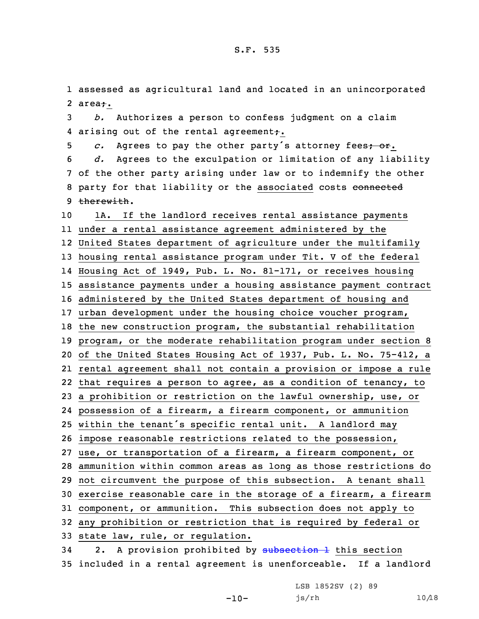1 assessed as agricultural land and located in an unincorporated 2 area<del>;</del>.

3 *b.* Authorizes <sup>a</sup> person to confess judgment on <sup>a</sup> claim 4 arising out of the rental agreement<del>;</del>.

5 *c.* Agrees to pay the other party's attorney fees<del>; or</del>. 6 *d.* Agrees to the exculpation or limitation of any liability 7 of the other party arising under law or to indemnify the other 8 party for that liability or the associated costs connected 9 therewith.

 1A. If the landlord receives rental assistance payments under <sup>a</sup> rental assistance agreement administered by the United States department of agriculture under the multifamily housing rental assistance program under Tit. <sup>V</sup> of the federal Housing Act of 1949, Pub. L. No. 81-171, or receives housing assistance payments under <sup>a</sup> housing assistance payment contract administered by the United States department of housing and urban development under the housing choice voucher program, the new construction program, the substantial rehabilitation program, or the moderate rehabilitation program under section 8 of the United States Housing Act of 1937, Pub. L. No. 75-412, <sup>a</sup> rental agreement shall not contain <sup>a</sup> provision or impose <sup>a</sup> rule that requires <sup>a</sup> person to agree, as <sup>a</sup> condition of tenancy, to <sup>a</sup> prohibition or restriction on the lawful ownership, use, or possession of <sup>a</sup> firearm, <sup>a</sup> firearm component, or ammunition within the tenant's specific rental unit. <sup>A</sup> landlord may impose reasonable restrictions related to the possession, use, or transportation of <sup>a</sup> firearm, <sup>a</sup> firearm component, or ammunition within common areas as long as those restrictions do not circumvent the purpose of this subsection. <sup>A</sup> tenant shall exercise reasonable care in the storage of <sup>a</sup> firearm, <sup>a</sup> firearm component, or ammunition. This subsection does not apply to any prohibition or restriction that is required by federal or state law, rule, or regulation. 34 2. A provision prohibited by [subsection](https://www.legis.iowa.gov/docs/code/2021/562A.11.pdf) 1 this section

35 included in <sup>a</sup> rental agreement is unenforceable. If <sup>a</sup> landlord

 $-10-$ 

LSB 1852SV (2) 89 js/rh 10/18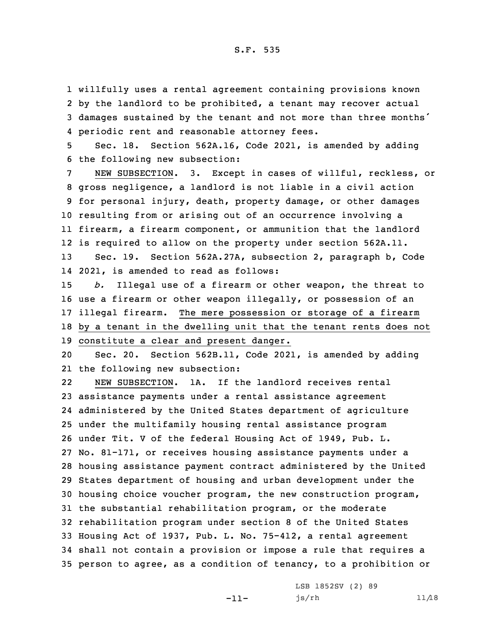willfully uses <sup>a</sup> rental agreement containing provisions known by the landlord to be prohibited, <sup>a</sup> tenant may recover actual damages sustained by the tenant and not more than three months' periodic rent and reasonable attorney fees.

5 Sec. 18. Section 562A.16, Code 2021, is amended by adding 6 the following new subsection:

 NEW SUBSECTION. 3. Except in cases of willful, reckless, or gross negligence, <sup>a</sup> landlord is not liable in <sup>a</sup> civil action for personal injury, death, property damage, or other damages resulting from or arising out of an occurrence involving <sup>a</sup> firearm, <sup>a</sup> firearm component, or ammunition that the landlord is required to allow on the property under section 562A.11. Sec. 19. Section 562A.27A, subsection 2, paragraph b, Code

14 2021, is amended to read as follows:

 *b.* Illegal use of <sup>a</sup> firearm or other weapon, the threat to use <sup>a</sup> firearm or other weapon illegally, or possession of an illegal firearm. The mere possession or storage of <sup>a</sup> firearm by <sup>a</sup> tenant in the dwelling unit that the tenant rents does not constitute <sup>a</sup> clear and present danger.

20 Sec. 20. Section 562B.11, Code 2021, is amended by adding 21 the following new subsection:

22 NEW SUBSECTION. 1A. If the landlord receives rental assistance payments under <sup>a</sup> rental assistance agreement administered by the United States department of agriculture under the multifamily housing rental assistance program under Tit. <sup>V</sup> of the federal Housing Act of 1949, Pub. L. No. 81-171, or receives housing assistance payments under <sup>a</sup> housing assistance payment contract administered by the United States department of housing and urban development under the housing choice voucher program, the new construction program, the substantial rehabilitation program, or the moderate rehabilitation program under section 8 of the United States Housing Act of 1937, Pub. L. No. 75-412, <sup>a</sup> rental agreement shall not contain <sup>a</sup> provision or impose <sup>a</sup> rule that requires <sup>a</sup> person to agree, as <sup>a</sup> condition of tenancy, to <sup>a</sup> prohibition or

-11-

LSB 1852SV (2) 89 js/rh 11/18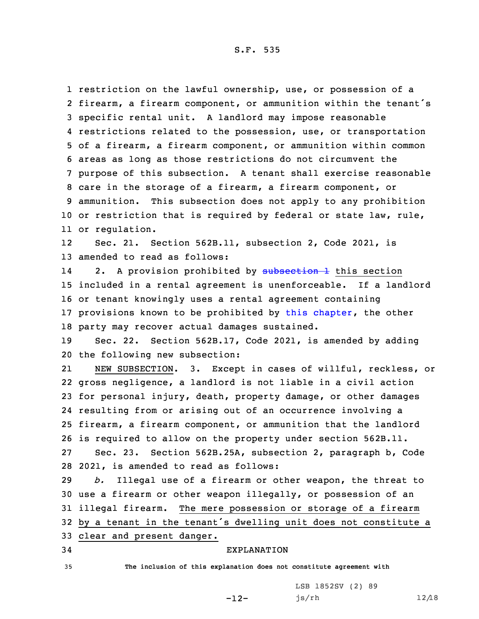restriction on the lawful ownership, use, or possession of <sup>a</sup> firearm, <sup>a</sup> firearm component, or ammunition within the tenant's specific rental unit. <sup>A</sup> landlord may impose reasonable restrictions related to the possession, use, or transportation of <sup>a</sup> firearm, <sup>a</sup> firearm component, or ammunition within common areas as long as those restrictions do not circumvent the purpose of this subsection. <sup>A</sup> tenant shall exercise reasonable care in the storage of <sup>a</sup> firearm, <sup>a</sup> firearm component, or ammunition. This subsection does not apply to any prohibition or restriction that is required by federal or state law, rule, or regulation.

12 Sec. 21. Section 562B.11, subsection 2, Code 2021, is 13 amended to read as follows:

142. A provision prohibited by [subsection](https://www.legis.iowa.gov/docs/code/2021/562B.11.pdf) 1 this section included in <sup>a</sup> rental agreement is unenforceable. If <sup>a</sup> landlord or tenant knowingly uses <sup>a</sup> rental agreement containing provisions known to be prohibited by this [chapter](https://www.legis.iowa.gov/docs/code/2021/562B.pdf), the other party may recover actual damages sustained.

19 Sec. 22. Section 562B.17, Code 2021, is amended by adding 20 the following new subsection:

21 NEW SUBSECTION. 3. Except in cases of willful, reckless, or gross negligence, <sup>a</sup> landlord is not liable in <sup>a</sup> civil action for personal injury, death, property damage, or other damages resulting from or arising out of an occurrence involving <sup>a</sup> firearm, <sup>a</sup> firearm component, or ammunition that the landlord is required to allow on the property under section 562B.11. Sec. 23. Section 562B.25A, subsection 2, paragraph b, Code 2021, is amended to read as follows:

 *b.* Illegal use of <sup>a</sup> firearm or other weapon, the threat to use <sup>a</sup> firearm or other weapon illegally, or possession of an illegal firearm. The mere possession or storage of <sup>a</sup> firearm by <sup>a</sup> tenant in the tenant's dwelling unit does not constitute <sup>a</sup>

33 clear and present danger.

## 34 EXPLANATION

35 **The inclusion of this explanation does not constitute agreement with**

-12-

LSB 1852SV (2) 89 js/rh 12/18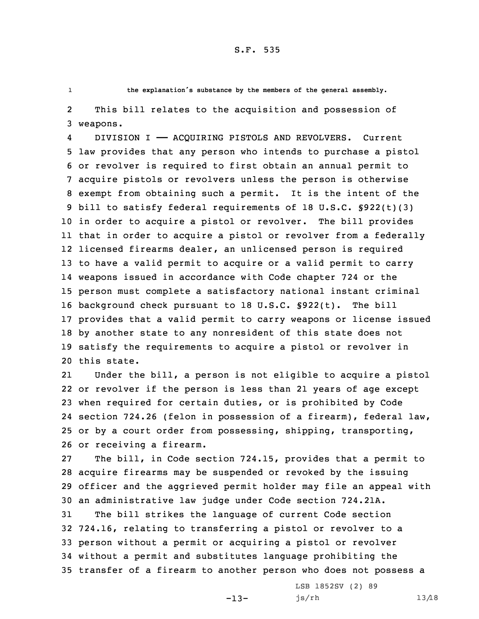1

**the explanation's substance by the members of the general assembly.**

2 This bill relates to the acquisition and possession of 3 weapons.

4 DIVISION I —— ACQUIRING PISTOLS AND REVOLVERS. Current law provides that any person who intends to purchase <sup>a</sup> pistol or revolver is required to first obtain an annual permit to acquire pistols or revolvers unless the person is otherwise exempt from obtaining such <sup>a</sup> permit. It is the intent of the bill to satisfy federal requirements of 18 U.S.C. §922(t)(3) in order to acquire <sup>a</sup> pistol or revolver. The bill provides that in order to acquire <sup>a</sup> pistol or revolver from <sup>a</sup> federally licensed firearms dealer, an unlicensed person is required to have <sup>a</sup> valid permit to acquire or <sup>a</sup> valid permit to carry weapons issued in accordance with Code chapter 724 or the person must complete <sup>a</sup> satisfactory national instant criminal background check pursuant to 18 U.S.C. §922(t). The bill provides that <sup>a</sup> valid permit to carry weapons or license issued by another state to any nonresident of this state does not satisfy the requirements to acquire <sup>a</sup> pistol or revolver in this state.

21 Under the bill, <sup>a</sup> person is not eligible to acquire <sup>a</sup> pistol or revolver if the person is less than 21 years of age except when required for certain duties, or is prohibited by Code section 724.26 (felon in possession of <sup>a</sup> firearm), federal law, or by <sup>a</sup> court order from possessing, shipping, transporting, or receiving <sup>a</sup> firearm.

 The bill, in Code section 724.15, provides that <sup>a</sup> permit to acquire firearms may be suspended or revoked by the issuing officer and the aggrieved permit holder may file an appeal with an administrative law judge under Code section 724.21A. The bill strikes the language of current Code section 724.16, relating to transferring <sup>a</sup> pistol or revolver to <sup>a</sup> person without <sup>a</sup> permit or acquiring <sup>a</sup> pistol or revolver without <sup>a</sup> permit and substitutes language prohibiting the transfer of <sup>a</sup> firearm to another person who does not possess <sup>a</sup>

 $-13-$ 

LSB 1852SV (2) 89 js/rh 13/18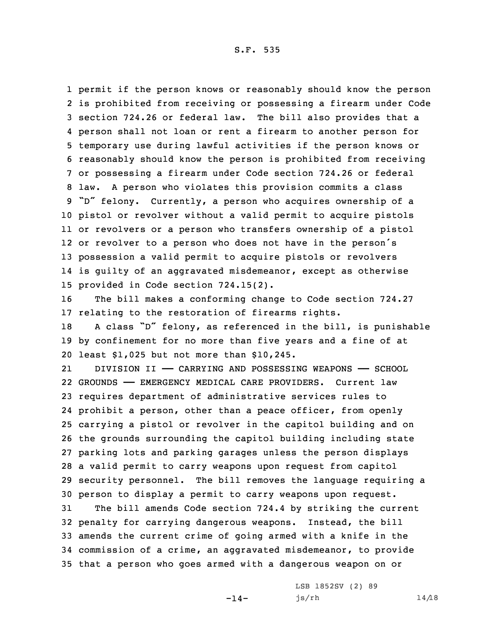permit if the person knows or reasonably should know the person is prohibited from receiving or possessing <sup>a</sup> firearm under Code section 724.26 or federal law. The bill also provides that <sup>a</sup> person shall not loan or rent <sup>a</sup> firearm to another person for temporary use during lawful activities if the person knows or reasonably should know the person is prohibited from receiving or possessing <sup>a</sup> firearm under Code section 724.26 or federal law. <sup>A</sup> person who violates this provision commits <sup>a</sup> class "D" felony. Currently, <sup>a</sup> person who acquires ownership of <sup>a</sup> pistol or revolver without <sup>a</sup> valid permit to acquire pistols or revolvers or <sup>a</sup> person who transfers ownership of <sup>a</sup> pistol or revolver to <sup>a</sup> person who does not have in the person's possession <sup>a</sup> valid permit to acquire pistols or revolvers is guilty of an aggravated misdemeanor, except as otherwise provided in Code section 724.15(2).

16 The bill makes <sup>a</sup> conforming change to Code section 724.27 17 relating to the restoration of firearms rights.

<sup>18</sup> <sup>A</sup> class "D" felony, as referenced in the bill, is punishable 19 by confinement for no more than five years and <sup>a</sup> fine of at 20 least \$1,025 but not more than \$10,245.

21 DIVISION II —— CARRYING AND POSSESSING WEAPONS —— SCHOOL GROUNDS —— EMERGENCY MEDICAL CARE PROVIDERS. Current law requires department of administrative services rules to prohibit <sup>a</sup> person, other than <sup>a</sup> peace officer, from openly carrying <sup>a</sup> pistol or revolver in the capitol building and on the grounds surrounding the capitol building including state parking lots and parking garages unless the person displays <sup>a</sup> valid permit to carry weapons upon request from capitol security personnel. The bill removes the language requiring <sup>a</sup> person to display <sup>a</sup> permit to carry weapons upon request.

 The bill amends Code section 724.4 by striking the current penalty for carrying dangerous weapons. Instead, the bill amends the current crime of going armed with <sup>a</sup> knife in the commission of <sup>a</sup> crime, an aggravated misdemeanor, to provide that <sup>a</sup> person who goes armed with <sup>a</sup> dangerous weapon on or

 $-14-$ 

LSB 1852SV (2) 89  $js/rh$  14/18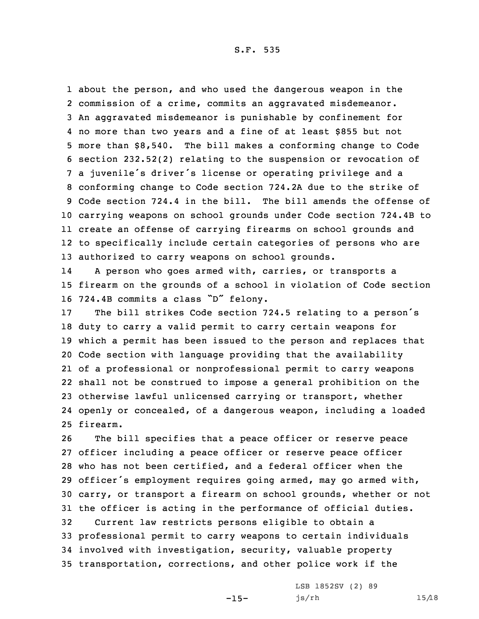about the person, and who used the dangerous weapon in the commission of <sup>a</sup> crime, commits an aggravated misdemeanor. An aggravated misdemeanor is punishable by confinement for no more than two years and <sup>a</sup> fine of at least \$855 but not more than \$8,540. The bill makes <sup>a</sup> conforming change to Code section 232.52(2) relating to the suspension or revocation of <sup>a</sup> juvenile's driver's license or operating privilege and <sup>a</sup> conforming change to Code section 724.2A due to the strike of Code section 724.4 in the bill. The bill amends the offense of carrying weapons on school grounds under Code section 724.4B to create an offense of carrying firearms on school grounds and to specifically include certain categories of persons who are authorized to carry weapons on school grounds.

14 <sup>A</sup> person who goes armed with, carries, or transports <sup>a</sup> 15 firearm on the grounds of <sup>a</sup> school in violation of Code section <sup>16</sup> 724.4B commits <sup>a</sup> class "D" felony.

 The bill strikes Code section 724.5 relating to <sup>a</sup> person's duty to carry <sup>a</sup> valid permit to carry certain weapons for which <sup>a</sup> permit has been issued to the person and replaces that Code section with language providing that the availability of <sup>a</sup> professional or nonprofessional permit to carry weapons shall not be construed to impose <sup>a</sup> general prohibition on the otherwise lawful unlicensed carrying or transport, whether openly or concealed, of <sup>a</sup> dangerous weapon, including <sup>a</sup> loaded 25 firearm.

 The bill specifies that <sup>a</sup> peace officer or reserve peace officer including <sup>a</sup> peace officer or reserve peace officer who has not been certified, and <sup>a</sup> federal officer when the officer's employment requires going armed, may go armed with, carry, or transport <sup>a</sup> firearm on school grounds, whether or not the officer is acting in the performance of official duties. Current law restricts persons eligible to obtain <sup>a</sup> professional permit to carry weapons to certain individuals involved with investigation, security, valuable property transportation, corrections, and other police work if the

 $-15-$ 

LSB 1852SV (2) 89 js/rh 15/18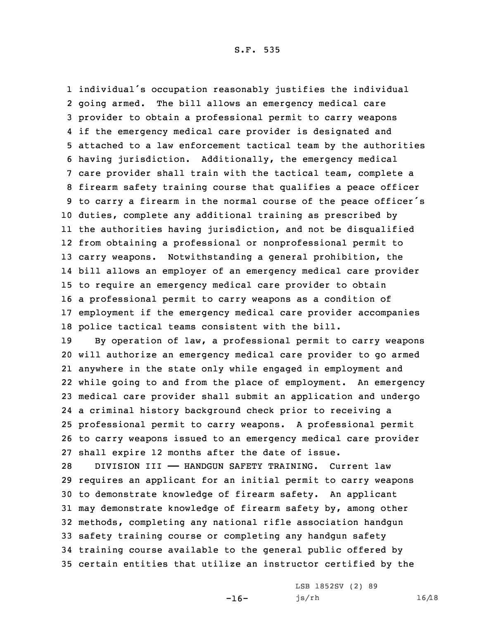individual's occupation reasonably justifies the individual going armed. The bill allows an emergency medical care provider to obtain <sup>a</sup> professional permit to carry weapons if the emergency medical care provider is designated and attached to <sup>a</sup> law enforcement tactical team by the authorities having jurisdiction. Additionally, the emergency medical care provider shall train with the tactical team, complete <sup>a</sup> firearm safety training course that qualifies <sup>a</sup> peace officer to carry <sup>a</sup> firearm in the normal course of the peace officer's duties, complete any additional training as prescribed by the authorities having jurisdiction, and not be disqualified from obtaining <sup>a</sup> professional or nonprofessional permit to carry weapons. Notwithstanding <sup>a</sup> general prohibition, the bill allows an employer of an emergency medical care provider to require an emergency medical care provider to obtain <sup>a</sup> professional permit to carry weapons as <sup>a</sup> condition of employment if the emergency medical care provider accompanies police tactical teams consistent with the bill.

 By operation of law, <sup>a</sup> professional permit to carry weapons will authorize an emergency medical care provider to go armed anywhere in the state only while engaged in employment and while going to and from the place of employment. An emergency medical care provider shall submit an application and undergo <sup>a</sup> criminal history background check prior to receiving <sup>a</sup> professional permit to carry weapons. <sup>A</sup> professional permit to carry weapons issued to an emergency medical care provider shall expire 12 months after the date of issue.

 DIVISION III —— HANDGUN SAFETY TRAINING. Current law requires an applicant for an initial permit to carry weapons to demonstrate knowledge of firearm safety. An applicant may demonstrate knowledge of firearm safety by, among other methods, completing any national rifle association handgun safety training course or completing any handgun safety training course available to the general public offered by certain entities that utilize an instructor certified by the

 $-16-$ 

LSB 1852SV (2) 89 js/rh 16/18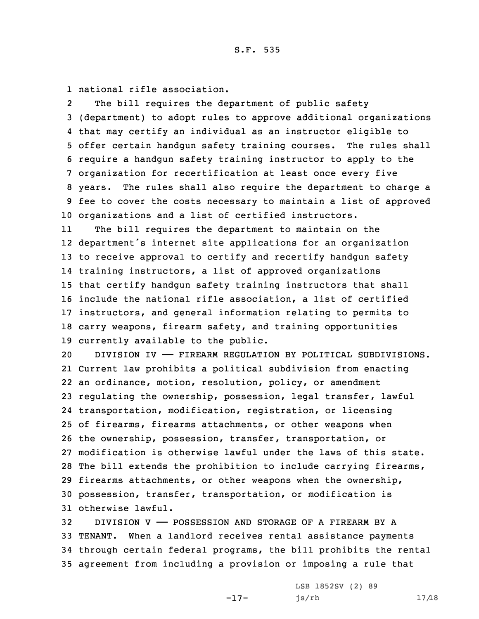1 national rifle association.

2 The bill requires the department of public safety (department) to adopt rules to approve additional organizations that may certify an individual as an instructor eligible to offer certain handgun safety training courses. The rules shall require <sup>a</sup> handgun safety training instructor to apply to the organization for recertification at least once every five years. The rules shall also require the department to charge <sup>a</sup> fee to cover the costs necessary to maintain <sup>a</sup> list of approved organizations and <sup>a</sup> list of certified instructors.

11 The bill requires the department to maintain on the department's internet site applications for an organization to receive approval to certify and recertify handgun safety training instructors, <sup>a</sup> list of approved organizations that certify handgun safety training instructors that shall include the national rifle association, <sup>a</sup> list of certified instructors, and general information relating to permits to carry weapons, firearm safety, and training opportunities currently available to the public.

 DIVISION IV —— FIREARM REGULATION BY POLITICAL SUBDIVISIONS. Current law prohibits <sup>a</sup> political subdivision from enacting an ordinance, motion, resolution, policy, or amendment regulating the ownership, possession, legal transfer, lawful transportation, modification, registration, or licensing of firearms, firearms attachments, or other weapons when the ownership, possession, transfer, transportation, or modification is otherwise lawful under the laws of this state. The bill extends the prohibition to include carrying firearms, firearms attachments, or other weapons when the ownership, possession, transfer, transportation, or modification is otherwise lawful.

 DIVISION V —— POSSESSION AND STORAGE OF A FIREARM BY A TENANT. When <sup>a</sup> landlord receives rental assistance payments through certain federal programs, the bill prohibits the rental agreement from including <sup>a</sup> provision or imposing <sup>a</sup> rule that

-17-

LSB 1852SV (2) 89 js/rh 17/18